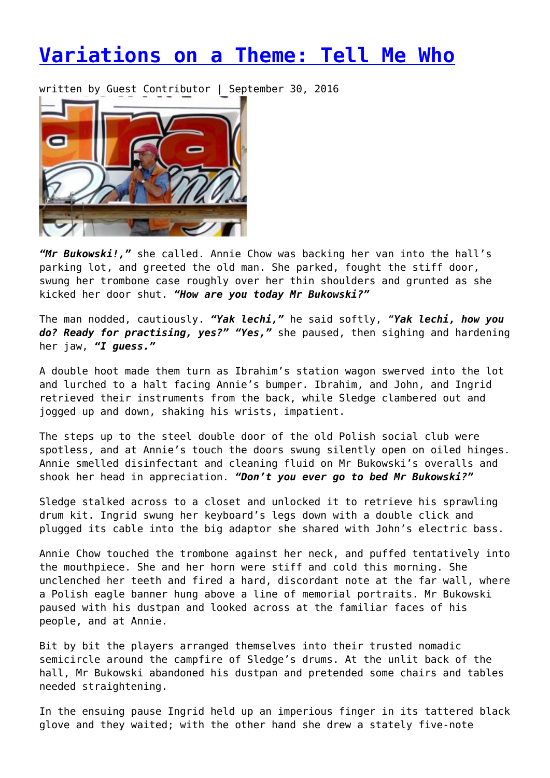## **[Variations on a Theme: Tell Me Who](https://entropymag.org/variations-on-a-theme-now-is-the-time/)**

written by Guest Contributor | September 30, 2016



*"Mr Bukowski!,"* she called. Annie Chow was backing her van into the hall's parking lot, and greeted the old man. She parked, fought the stiff door, swung her trombone case roughly over her thin shoulders and grunted as she kicked her door shut. *"How are you today Mr Bukowski?"*

The man nodded, cautiously. *"Yak lechi,"* he said softly, *"Yak lechi, how you do? Ready for practising, yes?" "Yes,"* she paused, then sighing and hardening her jaw, *"I guess."*

A double hoot made them turn as Ibrahim's station wagon swerved into the lot and lurched to a halt facing Annie's bumper. Ibrahim, and John, and Ingrid retrieved their instruments from the back, while Sledge clambered out and jogged up and down, shaking his wrists, impatient.

The steps up to the steel double door of the old Polish social club were spotless, and at Annie's touch the doors swung silently open on oiled hinges. Annie smelled disinfectant and cleaning fluid on Mr Bukowski's overalls and shook her head in appreciation. *"Don't you ever go to bed Mr Bukowski?"*

Sledge stalked across to a closet and unlocked it to retrieve his sprawling drum kit. Ingrid swung her keyboard's legs down with a double click and plugged its cable into the big adaptor she shared with John's electric bass.

Annie Chow touched the trombone against her neck, and puffed tentatively into the mouthpiece. She and her horn were stiff and cold this morning. She unclenched her teeth and fired a hard, discordant note at the far wall, where a Polish eagle banner hung above a line of memorial portraits. Mr Bukowski paused with his dustpan and looked across at the familiar faces of his people, and at Annie.

Bit by bit the players arranged themselves into their trusted nomadic semicircle around the campfire of Sledge's drums. At the unlit back of the hall, Mr Bukowski abandoned his dustpan and pretended some chairs and tables needed straightening.

In the ensuing pause Ingrid held up an imperious finger in its tattered black glove and they waited; with the other hand she drew a stately five-note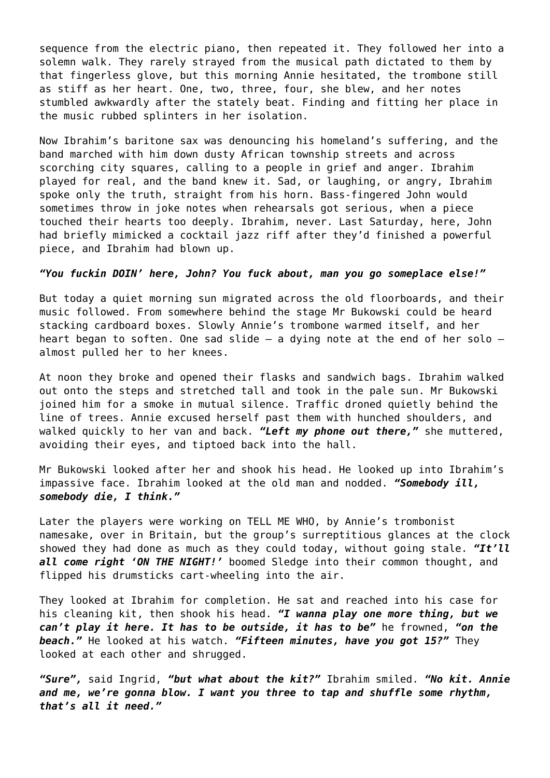sequence from the electric piano, then repeated it. They followed her into a solemn walk. They rarely strayed from the musical path dictated to them by that fingerless glove, but this morning Annie hesitated, the trombone still as stiff as her heart. One, two, three, four, she blew, and her notes stumbled awkwardly after the stately beat. Finding and fitting her place in the music rubbed splinters in her isolation.

Now Ibrahim's baritone sax was denouncing his homeland's suffering, and the band marched with him down dusty African township streets and across scorching city squares, calling to a people in grief and anger. Ibrahim played for real, and the band knew it. Sad, or laughing, or angry, Ibrahim spoke only the truth, straight from his horn. Bass-fingered John would sometimes throw in joke notes when rehearsals got serious, when a piece touched their hearts too deeply. Ibrahim, never. Last Saturday, here, John had briefly mimicked a cocktail jazz riff after they'd finished a powerful piece, and Ibrahim had blown up.

## *"You fuckin DOIN' here, John? You fuck about, man you go someplace else!"*

But today a quiet morning sun migrated across the old floorboards, and their music followed. From somewhere behind the stage Mr Bukowski could be heard stacking cardboard boxes. Slowly Annie's trombone warmed itself, and her heart began to soften. One sad slide  $-$  a dying note at the end of her solo  $$ almost pulled her to her knees.

At noon they broke and opened their flasks and sandwich bags. Ibrahim walked out onto the steps and stretched tall and took in the pale sun. Mr Bukowski joined him for a smoke in mutual silence. Traffic droned quietly behind the line of trees. Annie excused herself past them with hunched shoulders, and walked quickly to her van and back. *"Left my phone out there,"* she muttered, avoiding their eyes, and tiptoed back into the hall.

Mr Bukowski looked after her and shook his head. He looked up into Ibrahim's impassive face. Ibrahim looked at the old man and nodded. *"Somebody ill, somebody die, I think."*

Later the players were working on TELL ME WHO, by Annie's trombonist namesake, over in Britain, but the group's surreptitious glances at the clock showed they had done as much as they could today, without going stale. *"It'll all come right 'ON THE NIGHT!'* boomed Sledge into their common thought, and flipped his drumsticks cart-wheeling into the air.

They looked at Ibrahim for completion. He sat and reached into his case for his cleaning kit, then shook his head. *"I wanna play one more thing, but we can't play it here. It has to be outside, it has to be"* he frowned, *"on the beach."* He looked at his watch. *"Fifteen minutes, have you got 15?"* They looked at each other and shrugged.

*"Sure",* said Ingrid, *"but what about the kit?"* Ibrahim smiled. *"No kit. Annie and me, we're gonna blow. I want you three to tap and shuffle some rhythm, that's all it need."*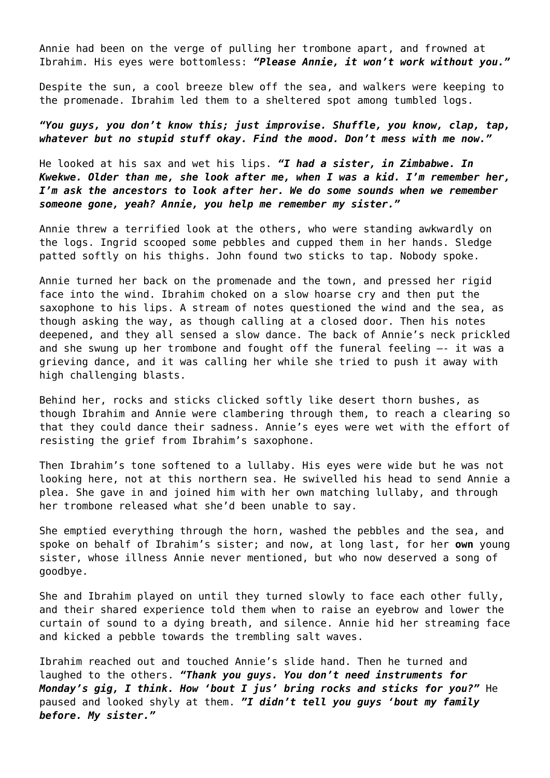Annie had been on the verge of pulling her trombone apart, and frowned at Ibrahim. His eyes were bottomless: *"Please Annie, it won't work without you."*

Despite the sun, a cool breeze blew off the sea, and walkers were keeping to the promenade. Ibrahim led them to a sheltered spot among tumbled logs.

*"You guys, you don't know this; just improvise. Shuffle, you know, clap, tap, whatever but no stupid stuff okay. Find the mood. Don't mess with me now."*

He looked at his sax and wet his lips. *"I had a sister, in Zimbabwe. In Kwekwe. Older than me, she look after me, when I was a kid. I'm remember her, I'm ask the ancestors to look after her. We do some sounds when we remember someone gone, yeah? Annie, you help me remember my sister."*

Annie threw a terrified look at the others, who were standing awkwardly on the logs. Ingrid scooped some pebbles and cupped them in her hands. Sledge patted softly on his thighs. John found two sticks to tap. Nobody spoke.

Annie turned her back on the promenade and the town, and pressed her rigid face into the wind. Ibrahim choked on a slow hoarse cry and then put the saxophone to his lips. A stream of notes questioned the wind and the sea, as though asking the way, as though calling at a closed door. Then his notes deepened, and they all sensed a slow dance. The back of Annie's neck prickled and she swung up her trombone and fought off the funeral feeling —- it was a grieving dance, and it was calling her while she tried to push it away with high challenging blasts.

Behind her, rocks and sticks clicked softly like desert thorn bushes, as though Ibrahim and Annie were clambering through them, to reach a clearing so that they could dance their sadness. Annie's eyes were wet with the effort of resisting the grief from Ibrahim's saxophone.

Then Ibrahim's tone softened to a lullaby. His eyes were wide but he was not looking here, not at this northern sea. He swivelled his head to send Annie a plea. She gave in and joined him with her own matching lullaby, and through her trombone released what she'd been unable to say.

She emptied everything through the horn, washed the pebbles and the sea, and spoke on behalf of Ibrahim's sister; and now, at long last, for her **own** young sister, whose illness Annie never mentioned, but who now deserved a song of goodbye.

She and Ibrahim played on until they turned slowly to face each other fully, and their shared experience told them when to raise an eyebrow and lower the curtain of sound to a dying breath, and silence. Annie hid her streaming face and kicked a pebble towards the trembling salt waves.

Ibrahim reached out and touched Annie's slide hand. Then he turned and laughed to the others. *"Thank you guys. You don't need instruments for* Monday's gig, I think. How 'bout I jus' bring rocks and sticks for you?" He paused and looked shyly at them. *"I didn't tell you guys 'bout my family before. My sister."*